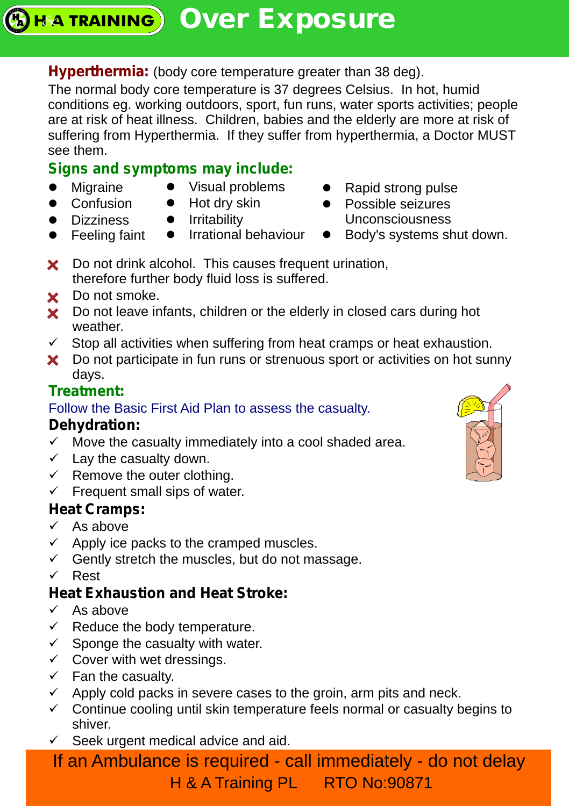## **Hyperthermia:** (body core temperature greater than 38 deg).

The normal body core temperature is 37 degrees Celsius. In hot, humid conditions eg. working outdoors, sport, fun runs, water sports activities; people are at risk of heat illness. Children, babies and the elderly are more at risk of suffering from Hyperthermia. If they suffer from hyperthermia, a Doctor MUST see them.

# **Signs and symptoms may include:**

- Migraine
- $\bullet$  Visual problems
- Confusion • Dizziness

• Feeling faint

- Hot dry skin
- **•** Irritability **•** Irrational behaviour
- Rapid strong pulse
- Possible seizures Unconsciousness
- Body's systems shut down.
- **X** Do not drink alcohol. This causes frequent urination, therefore further body fluid loss is suffered.
- Do not smoke.
- **X** Do not leave infants, children or the elderly in closed cars during hot weather.
- $\checkmark$  Stop all activities when suffering from heat cramps or heat exhaustion.
- X Do not participate in fun runs or strenuous sport or activities on hot sunny days.

# **Treatment:**

### Follow the Basic First Aid Plan to assess the casualty.

## **Dehydration:**

- $\checkmark$  Move the casualty immediately into a cool shaded area.
- $\checkmark$  Lay the casualty down.
- $\checkmark$  Remove the outer clothing.
- $\checkmark$  Frequent small sips of water.

## **Heat Cramps:**

- $\checkmark$  As above
- $\checkmark$  Apply ice packs to the cramped muscles.
- $\checkmark$  Gently stretch the muscles, but do not massage.
- ü Rest

# **Heat Exhaustion and Heat Stroke:**

- $\checkmark$  As above
- $\checkmark$  Reduce the body temperature.
- $\checkmark$  Sponge the casualty with water.
- $\checkmark$  Cover with wet dressings.
- $\checkmark$  Fan the casualty.
- $\checkmark$  Apply cold packs in severe cases to the groin, arm pits and neck.
- $\checkmark$  Continue cooling until skin temperature feels normal or casualty begins to shiver.
- $\checkmark$  Seek urgent medical advice and aid.

If an Ambulance is required - call immediately - do not delay H & A Training PL RTO No:90871

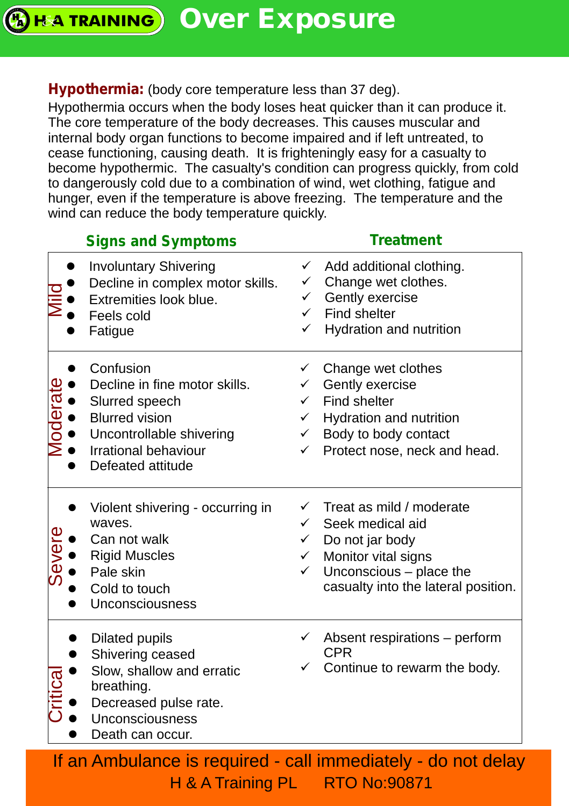**REATRAINING** Over Exposure

#### **Hypothermia:** (body core temperature less than 37 deg).

Hypothermia occurs when the body loses heat quicker than it can produce it. The core temperature of the body decreases. This causes muscular and internal body organ functions to become impaired and if left untreated, to cease functioning, causing death. It is frighteningly easy for a casualty to become hypothermic. The casualty's condition can progress quickly, from cold to dangerously cold due to a combination of wind, wet clothing, fatigue and hunger, even if the temperature is above freezing. The temperature and the wind can reduce the body temperature quickly.

| Add additional clothing.<br>Change wet clothes.<br>Gently exercise<br>Find shelter<br>Hydration and nutrition<br>Change wet clothes<br>Gently exercise<br>Find shelter<br>Hydration and nutrition<br>Body to body contact |
|---------------------------------------------------------------------------------------------------------------------------------------------------------------------------------------------------------------------------|
|                                                                                                                                                                                                                           |
| Protect nose, neck and head.                                                                                                                                                                                              |
| Treat as mild / moderate<br>Seek medical aid<br>Do not jar body<br>Monitor vital signs<br>Unconscious - place the<br>casualty into the lateral position.                                                                  |
| Absent respirations - perform<br><b>CPR</b><br>Continue to rewarm the body.                                                                                                                                               |
|                                                                                                                                                                                                                           |

H & A Training PL RTO No:90871